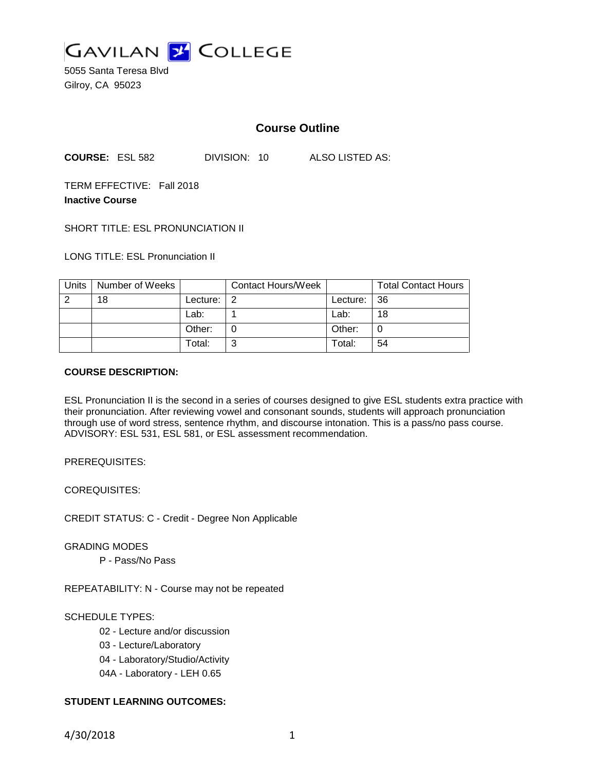

5055 Santa Teresa Blvd Gilroy, CA 95023

# **Course Outline**

**COURSE:** ESL 582 DIVISION: 10 ALSO LISTED AS:

TERM EFFECTIVE: Fall 2018 **Inactive Course**

SHORT TITLE: ESL PRONUNCIATION II

LONG TITLE: ESL Pronunciation II

| Units | Number of Weeks |                | Contact Hours/Week |             | <b>Total Contact Hours</b> |
|-------|-----------------|----------------|--------------------|-------------|----------------------------|
| റ     | 18              | Lecture: $ 2 $ |                    | Lecture: 36 |                            |
|       |                 | Lab:           |                    | Lab:        | 18                         |
|       |                 | Other:         |                    | Other:      |                            |
|       |                 | Total:         |                    | Total:      | 54                         |

#### **COURSE DESCRIPTION:**

ESL Pronunciation II is the second in a series of courses designed to give ESL students extra practice with their pronunciation. After reviewing vowel and consonant sounds, students will approach pronunciation through use of word stress, sentence rhythm, and discourse intonation. This is a pass/no pass course. ADVISORY: ESL 531, ESL 581, or ESL assessment recommendation.

PREREQUISITES:

COREQUISITES:

CREDIT STATUS: C - Credit - Degree Non Applicable

GRADING MODES

P - Pass/No Pass

REPEATABILITY: N - Course may not be repeated

## SCHEDULE TYPES:

02 - Lecture and/or discussion

- 03 Lecture/Laboratory
- 04 Laboratory/Studio/Activity
- 04A Laboratory LEH 0.65

## **STUDENT LEARNING OUTCOMES:**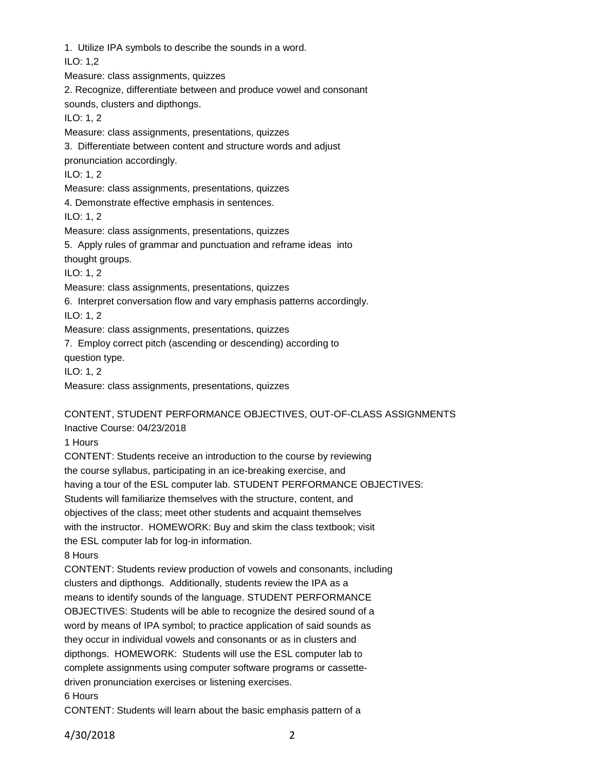1. Utilize IPA symbols to describe the sounds in a word.

ILO: 1,2

Measure: class assignments, quizzes

2. Recognize, differentiate between and produce vowel and consonant

sounds, clusters and dipthongs.

ILO: 1, 2

Measure: class assignments, presentations, quizzes

3. Differentiate between content and structure words and adjust

pronunciation accordingly.

ILO: 1, 2

Measure: class assignments, presentations, quizzes

4. Demonstrate effective emphasis in sentences.

ILO: 1, 2

Measure: class assignments, presentations, quizzes

5. Apply rules of grammar and punctuation and reframe ideas into

thought groups.

ILO: 1, 2

Measure: class assignments, presentations, quizzes

6. Interpret conversation flow and vary emphasis patterns accordingly.

ILO: 1, 2

Measure: class assignments, presentations, quizzes

7. Employ correct pitch (ascending or descending) according to

question type.

ILO: 1, 2

Measure: class assignments, presentations, quizzes

CONTENT, STUDENT PERFORMANCE OBJECTIVES, OUT-OF-CLASS ASSIGNMENTS Inactive Course: 04/23/2018

1 Hours

CONTENT: Students receive an introduction to the course by reviewing the course syllabus, participating in an ice-breaking exercise, and having a tour of the ESL computer lab. STUDENT PERFORMANCE OBJECTIVES: Students will familiarize themselves with the structure, content, and objectives of the class; meet other students and acquaint themselves with the instructor. HOMEWORK: Buy and skim the class textbook; visit the ESL computer lab for log-in information. 8 Hours

CONTENT: Students review production of vowels and consonants, including clusters and dipthongs. Additionally, students review the IPA as a means to identify sounds of the language. STUDENT PERFORMANCE OBJECTIVES: Students will be able to recognize the desired sound of a word by means of IPA symbol; to practice application of said sounds as they occur in individual vowels and consonants or as in clusters and dipthongs. HOMEWORK: Students will use the ESL computer lab to complete assignments using computer software programs or cassettedriven pronunciation exercises or listening exercises. 6 Hours

CONTENT: Students will learn about the basic emphasis pattern of a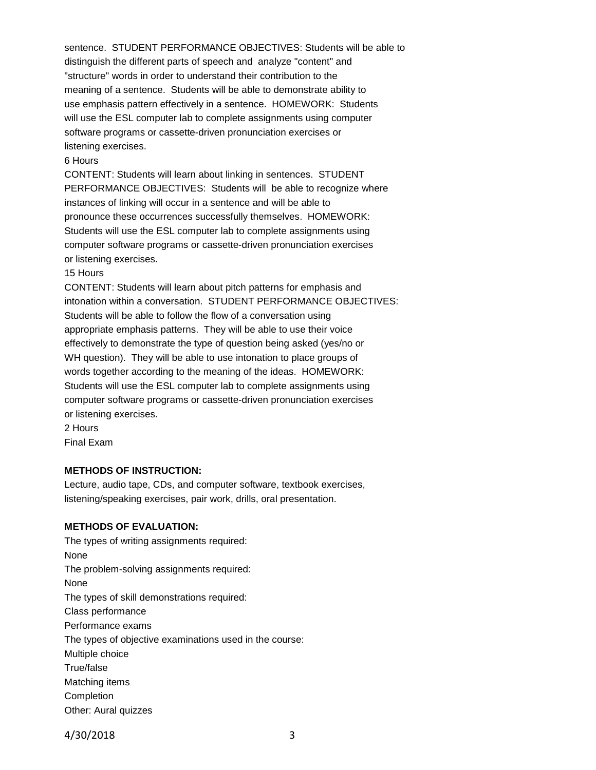sentence. STUDENT PERFORMANCE OBJECTIVES: Students will be able to distinguish the different parts of speech and analyze "content" and "structure" words in order to understand their contribution to the meaning of a sentence. Students will be able to demonstrate ability to use emphasis pattern effectively in a sentence. HOMEWORK: Students will use the ESL computer lab to complete assignments using computer software programs or cassette-driven pronunciation exercises or listening exercises.

#### 6 Hours

CONTENT: Students will learn about linking in sentences. STUDENT PERFORMANCE OBJECTIVES: Students will be able to recognize where instances of linking will occur in a sentence and will be able to pronounce these occurrences successfully themselves. HOMEWORK: Students will use the ESL computer lab to complete assignments using computer software programs or cassette-driven pronunciation exercises or listening exercises.

#### 15 Hours

CONTENT: Students will learn about pitch patterns for emphasis and intonation within a conversation. STUDENT PERFORMANCE OBJECTIVES: Students will be able to follow the flow of a conversation using appropriate emphasis patterns. They will be able to use their voice effectively to demonstrate the type of question being asked (yes/no or WH question). They will be able to use intonation to place groups of words together according to the meaning of the ideas. HOMEWORK: Students will use the ESL computer lab to complete assignments using computer software programs or cassette-driven pronunciation exercises or listening exercises. 2 Hours

Final Exam

### **METHODS OF INSTRUCTION:**

Lecture, audio tape, CDs, and computer software, textbook exercises, listening/speaking exercises, pair work, drills, oral presentation.

#### **METHODS OF EVALUATION:**

The types of writing assignments required: None The problem-solving assignments required: None The types of skill demonstrations required: Class performance Performance exams The types of objective examinations used in the course: Multiple choice True/false Matching items **Completion** Other: Aural quizzes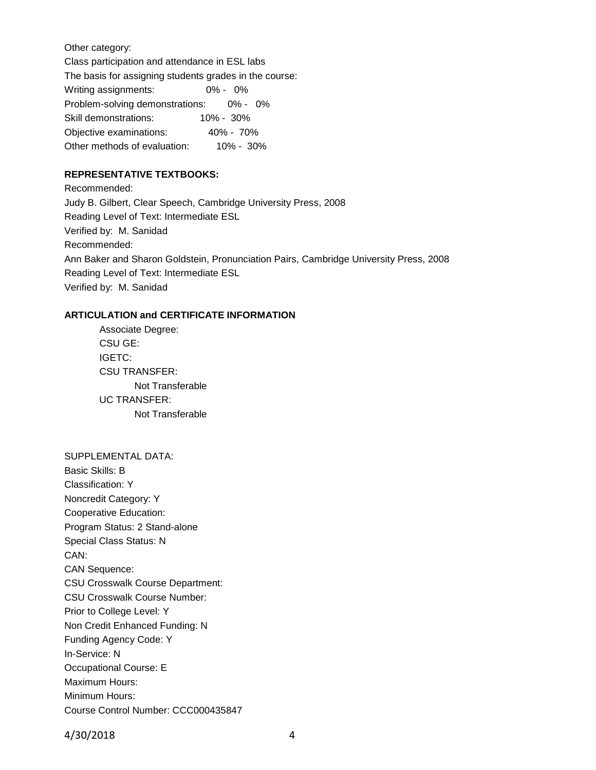Other category:

Class participation and attendance in ESL labs

The basis for assigning students grades in the course:

Writing assignments: 0% - 0% Problem-solving demonstrations: 0% - 0% Skill demonstrations: 10% - 30% Objective examinations: 40% - 70% Other methods of evaluation: 10% - 30%

## **REPRESENTATIVE TEXTBOOKS:**

Recommended: Judy B. Gilbert, Clear Speech, Cambridge University Press, 2008 Reading Level of Text: Intermediate ESL Verified by: M. Sanidad Recommended: Ann Baker and Sharon Goldstein, Pronunciation Pairs, Cambridge University Press, 2008 Reading Level of Text: Intermediate ESL Verified by: M. Sanidad

## **ARTICULATION and CERTIFICATE INFORMATION**

Associate Degree: CSU GE: IGETC: CSU TRANSFER: Not Transferable UC TRANSFER: Not Transferable

SUPPLEMENTAL DATA: Basic Skills: B Classification: Y Noncredit Category: Y Cooperative Education: Program Status: 2 Stand-alone Special Class Status: N CAN: CAN Sequence: CSU Crosswalk Course Department: CSU Crosswalk Course Number: Prior to College Level: Y Non Credit Enhanced Funding: N Funding Agency Code: Y In-Service: N Occupational Course: E Maximum Hours: Minimum Hours: Course Control Number: CCC000435847